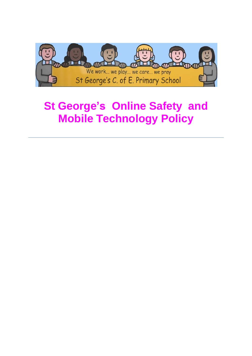

# **St George's Online Safety and Mobile Technology Policy**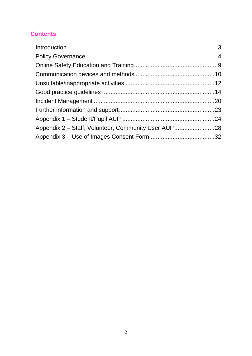### **Contents**

| Appendix 2 – Staff, Volunteer, Community User AUP28 |  |
|-----------------------------------------------------|--|
|                                                     |  |
|                                                     |  |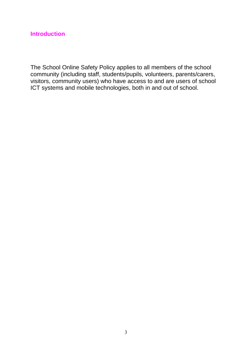### <span id="page-2-0"></span>**Introduction**

The School Online Safety Policy applies to all members of the school community (including staff, students/pupils, volunteers, parents/carers, visitors, community users) who have access to and are users of school ICT systems and mobile technologies, both in and out of school.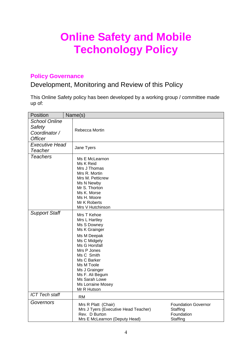# **Online Safety and Mobile Techonology Policy**

### <span id="page-3-0"></span>**Policy Governance**

### Development, Monitoring and Review of this Policy

This Online Safety policy has been developed by a working group / committee made up of:

| <b>Position</b>                                 | Name(s)                                                     |                            |
|-------------------------------------------------|-------------------------------------------------------------|----------------------------|
| <b>School Online</b><br>Safety<br>Coordinator / | Rebecca Mortin                                              |                            |
| <b>Officer</b>                                  |                                                             |                            |
| <b>Executive Head</b>                           | Jane Tyers                                                  |                            |
| Teacher                                         |                                                             |                            |
| <b>Teachers</b>                                 | Ms E McLearnon<br>Ms K Reid<br>Mrs J Thomas                 |                            |
|                                                 | Mrs R. Mortin                                               |                            |
|                                                 | Mrs M. Petticrew<br>Ms N Newby                              |                            |
|                                                 | Mr S. Thorton                                               |                            |
|                                                 | Ms K. Morse                                                 |                            |
|                                                 | Ms H. Moore                                                 |                            |
|                                                 | Mr K Roberts                                                |                            |
|                                                 | Mrs V Hutchinson                                            |                            |
| <b>Support Staff</b>                            | Mrs T Kehoe                                                 |                            |
|                                                 | Mrs L Hartley<br>Ms S Downey                                |                            |
|                                                 | Ms K Grainger                                               |                            |
|                                                 | Ms M Deepak                                                 |                            |
|                                                 | Ms C Midgely                                                |                            |
|                                                 | Ms G Horsfall                                               |                            |
|                                                 | Mrs P Jones<br>Ms C Smith                                   |                            |
|                                                 | Ms C Barker                                                 |                            |
|                                                 | Ms M Toole                                                  |                            |
|                                                 | Ms J Grainger                                               |                            |
|                                                 | Ms F. Ali Begum                                             |                            |
|                                                 | Ms Sarah Lowe                                               |                            |
|                                                 | Ms Lorraine Mosey<br>Mr R Hutson                            |                            |
| <b>ICT Tech staff</b>                           | <b>RM</b>                                                   |                            |
| Governors                                       |                                                             | <b>Foundation Governor</b> |
|                                                 | Mrs R Platt (Chair)<br>Mrs J Tyers (Executive Head Teacher) | Staffing                   |
|                                                 | Rev. D Burton                                               | Foundation                 |
|                                                 | Mrs E McLearnon (Deputy Head)                               | Staffing                   |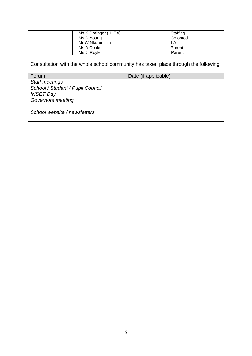| Ms K Grainger (HLTA) | Staffing |
|----------------------|----------|
| Ms D Young           | Co opted |
| Mr W Nkurunziza      | LA       |
| Ms A Cooke           | Parent   |
| Ms J. Royle          | Parent   |

Consultation with the whole school community has taken place through the following:

| Forum                            | Date (if applicable) |
|----------------------------------|----------------------|
| <b>Staff meetings</b>            |                      |
| School / Student / Pupil Council |                      |
| <b>INSET Day</b>                 |                      |
| <b>Governors meeting</b>         |                      |
|                                  |                      |
| School website / newsletters     |                      |
|                                  |                      |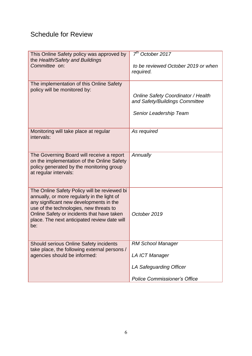### Schedule for Review

| This Online Safety policy was approved by<br>the Health/Safety and Buildings                  | $7th$ October 2017                               |
|-----------------------------------------------------------------------------------------------|--------------------------------------------------|
| Committee on:                                                                                 | to be reviewed October 2019 or when<br>required. |
|                                                                                               |                                                  |
| The implementation of this Online Safety<br>policy will be monitored by:                      |                                                  |
|                                                                                               | <b>Online Safety Coordinator / Health</b>        |
|                                                                                               | and Safety/Buildings Committee                   |
|                                                                                               | Senior Leadership Team                           |
|                                                                                               |                                                  |
| Monitoring will take place at regular                                                         | As required                                      |
| intervals:                                                                                    |                                                  |
|                                                                                               |                                                  |
| The Governing Board will receive a report<br>on the implementation of the Online Safety       | Annually                                         |
| policy generated by the monitoring group                                                      |                                                  |
| at regular intervals:                                                                         |                                                  |
|                                                                                               |                                                  |
| The Online Safety Policy will be reviewed bi<br>annually, or more regularly in the light of   |                                                  |
| any significant new developments in the                                                       |                                                  |
| use of the technologies, new threats to<br>Online Safety or incidents that have taken         | October 2019                                     |
| place. The next anticipated review date will                                                  |                                                  |
| be:                                                                                           |                                                  |
|                                                                                               |                                                  |
| <b>Should serious Online Safety incidents</b><br>take place, the following external persons / | <b>RM School Manager</b>                         |
| agencies should be informed:                                                                  | <b>LA ICT Manager</b>                            |
|                                                                                               | LA Safeguarding Officer                          |
|                                                                                               |                                                  |
|                                                                                               | <b>Police Commissioner's Office</b>              |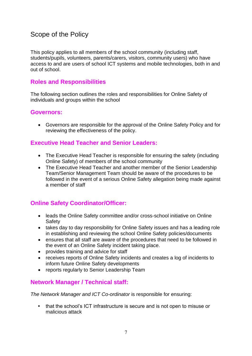### Scope of the Policy

This policy applies to all members of the school community (including staff, students/pupils, volunteers, parents/carers, visitors, community users) who have access to and are users of school ICT systems and mobile technologies, both in and out of school.

### **Roles and Responsibilities**

The following section outlines the roles and responsibilities for Online Safety of individuals and groups within the school

### **Governors:**

 Governors are responsible for the approval of the Online Safety Policy and for reviewing the effectiveness of the policy.

### **Executive Head Teacher and Senior Leaders:**

- The Executive Head Teacher is responsible for ensuring the safety (including Online Safety) of members of the school community
- The Executive Head Teacher and another member of the Senior Leadership Team/Senior Management Team should be aware of the procedures to be followed in the event of a serious Online Safety allegation being made against a member of staff

### **Online Safety Coordinator/Officer:**

- leads the Online Safety committee and/or cross-school initiative on Online **Safety**
- takes day to day responsibility for Online Safety issues and has a leading role in establishing and reviewing the school Online Safety policies/documents
- ensures that all staff are aware of the procedures that need to be followed in the event of an Online Safety incident taking place.
- provides training and advice for staff
- receives reports of Online Safety incidents and creates a log of incidents to inform future Online Safety developments
- reports regularly to Senior Leadership Team

### **Network Manager / Technical staff:**

*The Network Manager and ICT Co-ordinator* is responsible for ensuring:

**•** that the school's ICT infrastructure is secure and is not open to misuse or malicious attack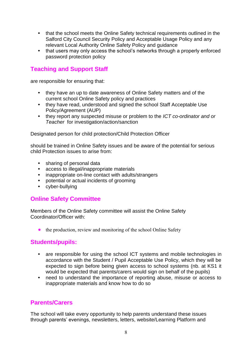- **•** that the school meets the Online Safety technical requirements outlined in the Salford City Council Security Policy and Acceptable Usage Policy and any relevant Local Authority Online Safety Policy and guidance
- **•** that users may only access the school's networks through a properly enforced password protection policy

### **Teaching and Support Staff**

are responsible for ensuring that:

- **•** they have an up to date awareness of Online Safety matters and of the current school Online Safety policy and practices
- **•** they have read, understood and signed the school Staff Acceptable Use Policy/Agreement (AUP)
- **•** they report any suspected misuse or problem to the *ICT co-ordinator and or Teacher* for investigation/action/sanction

Designated person for child protection/Child Protection Officer

should be trained in Online Safety issues and be aware of the potential for serious child Protection issues to arise from:

- **•** sharing of personal data
- **•** access to illegal/inappropriate materials
- **•** inappropriate on-line contact with adults/strangers
- **•** potential or actual incidents of grooming
- **•** cyber-bullying

### **Online Safety Committee**

Members of the Online Safety committee will assist the Online Safety Coordinator/Officer with:

• the production, review and monitoring of the school Online Safety

### **Students/pupils:**

- **•** are responsible for using the school ICT systems and mobile technologies in accordance with the Student / Pupil Acceptable Use Policy, which they will be expected to sign before being given access to school systems (nb. at KS1 it would be expected that parents/carers would sign on behalf of the pupils)
- **•** need to understand the importance of reporting abuse, misuse or access to inappropriate materials and know how to do so

### **Parents/Carers**

The school will take every opportunity to help parents understand these issues through parents' evenings, newsletters, letters, website/Learning Platform and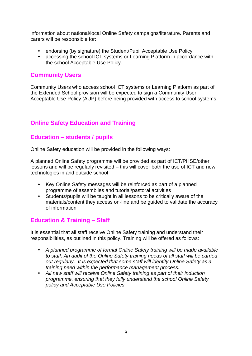information about national/local Online Safety campaigns/literature. Parents and carers will be responsible for:

- **•** endorsing (by signature) the Student/Pupil Acceptable Use Policy
- **•** accessing the school ICT systems or Learning Platform in accordance with the school Acceptable Use Policy.

### **Community Users**

Community Users who access school ICT systems or Learning Platform as part of the Extended School provision will be expected to sign a Community User Acceptable Use Policy (AUP) before being provided with access to school systems.

### <span id="page-8-0"></span>**Online Safety Education and Training**

### **Education – students / pupils**

Online Safety education will be provided in the following ways:

A planned Online Safety programme will be provided as part of ICT/PHSE/other lessons and will be regularly revisited – this will cover both the use of ICT and new technologies in and outside school

- **•** Key Online Safety messages will be reinforced as part of a planned programme of assemblies and tutorial/pastoral activities
- **•** Students/pupils will be taught in all lessons to be critically aware of the materials/content they access on-line and be guided to validate the accuracy of information

### **Education & Training – Staff**

It is essential that all staff receive Online Safety training and understand their responsibilities, as outlined in this policy. Training will be offered as follows:

- **•** *A planned programme of formal Online Safety training will be made available to staff. An audit of the Online Safety training needs of all staff will be carried out regularly. It is expected that some staff will identify Online Safety as a training need within the performance management process.*
- **•** *All new staff will receive Online Safety training as part of their induction programme, ensuring that they fully understand the school Online Safety policy and Acceptable Use Policies*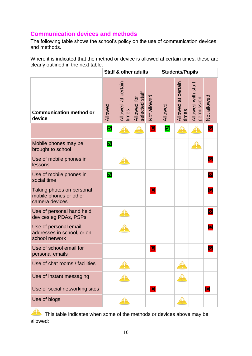### <span id="page-9-0"></span>**Communication devices and methods**

The following table shows the school's policy on the use of communication devices and methods.

Where it is indicated that the method or device is allowed at certain times, these are clearly outlined in the next table.

|                                                                       |                | <b>Staff &amp; other adults</b> |                               |                         | <b>Students/Pupils</b> |                             |                                  |                         |
|-----------------------------------------------------------------------|----------------|---------------------------------|-------------------------------|-------------------------|------------------------|-----------------------------|----------------------------------|-------------------------|
| <b>Communication method or</b><br>device                              | Allowed        | Allowed at certain<br>times     | Allowed for<br>selected staff | Not allowed             | Allowed                | Allowed at certain<br>times | Allowed with staff<br>permission | Not allowed             |
|                                                                       | ⊠              |                                 |                               | 図                       | 囟                      |                             |                                  | 図                       |
| Mobile phones may be<br>brought to school                             | $\blacksquare$ |                                 |                               |                         |                        |                             |                                  |                         |
| Use of mobile phones in<br>lessons                                    |                |                                 |                               |                         |                        |                             |                                  | 図                       |
| Use of mobile phones in<br>social time                                | ☑              |                                 |                               |                         |                        |                             |                                  | $\mathbf{x}$            |
| Taking photos on personal<br>mobile phones or other<br>camera devices |                |                                 |                               | $\mathbf{\overline{x}}$ |                        |                             |                                  |                         |
| Use of personal hand held<br>devices eg PDAs, PSPs                    |                |                                 |                               |                         |                        |                             |                                  | $\mathbf{x}$            |
| Use of personal email<br>addresses in school, or on<br>school network |                |                                 |                               |                         |                        |                             |                                  | $\mathbf{x}$            |
| Use of school email for<br>personal emails                            |                |                                 |                               | 区                       |                        |                             |                                  | $\mathbf x$             |
| Use of chat rooms / facilities                                        |                |                                 |                               |                         |                        |                             |                                  |                         |
| Use of instant messaging                                              |                |                                 |                               |                         |                        |                             |                                  |                         |
| Use of social networking sites                                        |                |                                 |                               | $\mathbf{x}$            |                        |                             |                                  | $\mathbf{\overline{x}}$ |
| Use of blogs                                                          |                |                                 |                               |                         |                        |                             |                                  |                         |

This table indicates when some of the methods or devices above may be allowed: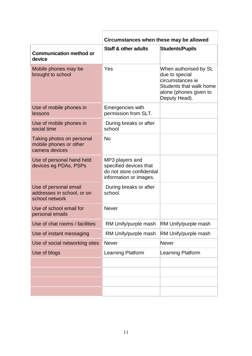|                                                                       | Circumstances when these may be allowed                                                          |                                                                                                                                   |  |  |  |  |
|-----------------------------------------------------------------------|--------------------------------------------------------------------------------------------------|-----------------------------------------------------------------------------------------------------------------------------------|--|--|--|--|
| <b>Communication method or</b><br>device                              | <b>Staff &amp; other adults</b>                                                                  | <b>Students/Pupils</b>                                                                                                            |  |  |  |  |
| Mobile phones may be<br>brought to school                             | Yes                                                                                              | When authorised by SL<br>due to special<br>circumstances ie<br>Students that walk home<br>alone (phones given to<br>Deputy Head). |  |  |  |  |
| Use of mobile phones in<br>lessons                                    | Emergencies with<br>permission from SLT.                                                         |                                                                                                                                   |  |  |  |  |
| Use of mobile phones in<br>social time                                | During breaks or after<br>school                                                                 |                                                                                                                                   |  |  |  |  |
| Taking photos on personal<br>mobile phones or other<br>camera devices | <b>No</b>                                                                                        |                                                                                                                                   |  |  |  |  |
| Use of personal hand held<br>devices eg PDAs, PSPs                    | MP3 players and<br>specified devices that<br>do not store confidential<br>information or images. |                                                                                                                                   |  |  |  |  |
| Use of personal email<br>addresses in school, or on<br>school network | During breaks or after<br>school.                                                                |                                                                                                                                   |  |  |  |  |
| Use of school email for<br>personal emails                            | <b>Never</b>                                                                                     |                                                                                                                                   |  |  |  |  |
| Use of chat rooms / facilities                                        | RM Unify/purple mash                                                                             | RM Unify/purple mash                                                                                                              |  |  |  |  |
| Use of instant messaging                                              | RM Unify/purple mash                                                                             | RM Unify/purple mash                                                                                                              |  |  |  |  |
| Use of social networking sites                                        | <b>Never</b>                                                                                     | <b>Never</b>                                                                                                                      |  |  |  |  |
| Use of blogs                                                          | <b>Learning Platform</b>                                                                         | Learning Platform                                                                                                                 |  |  |  |  |
|                                                                       |                                                                                                  |                                                                                                                                   |  |  |  |  |
|                                                                       |                                                                                                  |                                                                                                                                   |  |  |  |  |
|                                                                       |                                                                                                  |                                                                                                                                   |  |  |  |  |
|                                                                       |                                                                                                  |                                                                                                                                   |  |  |  |  |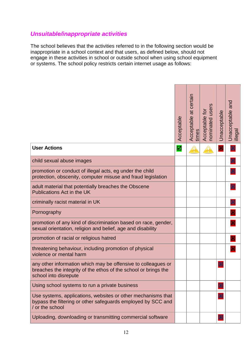### <span id="page-11-0"></span>*Unsuitable/inappropriate activities*

The school believes that the activities referred to in the following section would be inappropriate in a school context and that users, as defined below, should not engage in these activities in school or outside school when using school equipment or systems. The school policy restricts certain internet usage as follows:

|                                                                                                                                                           | Acceptable | Acceptable at certain<br>times | nominated users<br>Acceptable for | Unacceptable               | and<br>Unacceptable a<br>illegal |
|-----------------------------------------------------------------------------------------------------------------------------------------------------------|------------|--------------------------------|-----------------------------------|----------------------------|----------------------------------|
| <b>User Actions</b>                                                                                                                                       | ⊠          |                                |                                   | 図                          | $\mathbf{E}$                     |
| child sexual abuse images                                                                                                                                 |            |                                |                                   |                            |                                  |
| promotion or conduct of illegal acts, eg under the child<br>protection, obscenity, computer misuse and fraud legislation                                  |            |                                |                                   |                            | 図                                |
| adult material that potentially breaches the Obscene<br>Publications Act in the UK                                                                        |            |                                |                                   |                            |                                  |
| criminally racist material in UK                                                                                                                          |            |                                |                                   |                            | 図                                |
| Pornography                                                                                                                                               |            |                                |                                   |                            | 図                                |
| promotion of any kind of discrimination based on race, gender,<br>sexual orientation, religion and belief, age and disability                             |            |                                |                                   |                            | 図                                |
| promotion of racial or religious hatred                                                                                                                   |            |                                |                                   |                            | 図                                |
| threatening behaviour, including promotion of physical<br>violence or mental harm                                                                         |            |                                |                                   |                            | 図                                |
| any other information which may be offensive to colleagues or<br>breaches the integrity of the ethos of the school or brings the<br>school into disrepute |            |                                |                                   | $\boldsymbol{\mathcal{X}}$ |                                  |
| Using school systems to run a private business                                                                                                            |            |                                |                                   | 図                          |                                  |
| Use systems, applications, websites or other mechanisms that<br>bypass the filtering or other safeguards employed by SCC and<br>/ or the school           |            |                                |                                   | 图                          |                                  |
| Uploading, downloading or transmitting commercial software                                                                                                |            |                                |                                   | $\mathbf{E}$               |                                  |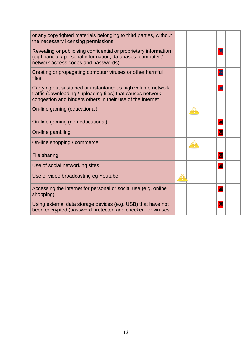| or any copyrighted materials belonging to third parties, without<br>the necessary licensing permissions                                                                                  |  |                         |  |
|------------------------------------------------------------------------------------------------------------------------------------------------------------------------------------------|--|-------------------------|--|
| Revealing or publicising confidential or proprietary information<br>(eg financial / personal information, databases, computer /<br>network access codes and passwords)                   |  | 図                       |  |
| Creating or propagating computer viruses or other harmful<br>files                                                                                                                       |  | E                       |  |
| Carrying out sustained or instantaneous high volume network<br>traffic (downloading / uploading files) that causes network<br>congestion and hinders others in their use of the internet |  | E                       |  |
| On-line gaming (educational)                                                                                                                                                             |  |                         |  |
| On-line gaming (non educational)                                                                                                                                                         |  | $\overline{\mathbf{x}}$ |  |
| On-line gambling                                                                                                                                                                         |  | $\overline{\mathbf{x}}$ |  |
| On-line shopping / commerce                                                                                                                                                              |  |                         |  |
| File sharing                                                                                                                                                                             |  | 図                       |  |
| Use of social networking sites                                                                                                                                                           |  | $\overline{\mathbf{x}}$ |  |
| Use of video broadcasting eg Youtube                                                                                                                                                     |  |                         |  |
| Accessing the internet for personal or social use (e.g. online<br>shopping)                                                                                                              |  | $\overline{\mathbf{x}}$ |  |
| Using external data storage devices (e.g. USB) that have not<br>been encrypted (password protected and checked for viruses                                                               |  | $\overline{\mathbf{x}}$ |  |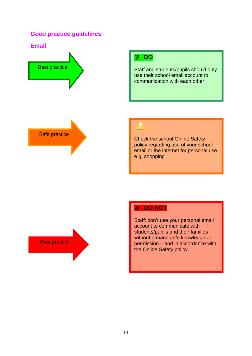### <span id="page-13-0"></span>**Good practice guidelines**

**Email**



### **Ø DO**

Staff and students/pupils should only use their school email account to communication with each other





Check the school Online Safety policy regarding use of your school email or the internet for personal use e.g. shopping

Poor practice

### **E DO NOT**

Staff: don't use your personal email account to communicate with students/pupils and their families without a manager's knowledge or permission – and in accordance with the Online Safety policy.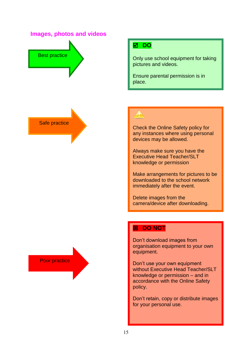### **Images, photos and videos**



### **DO**

Only use school equipment for taking pictures and videos.

Ensure parental permission is in place.

Safe practice

Check the Online Safety policy for any instances where using personal devices may be allowed.

Always make sure you have the Executive Head Teacher/SLT knowledge or permission

Make arrangements for pictures to be downloaded to the school network immediately after the event.

Delete images from the camera/device after downloading.

### **E DO NOT**

Don't download images from organisation equipment to your own equipment.

Don't use your own equipment without Executive Head Teacher/SLT knowledge or permission – and in accordance with the Online Safety policy.

Don't retain, copy or distribute images for your personal use.

Poor practice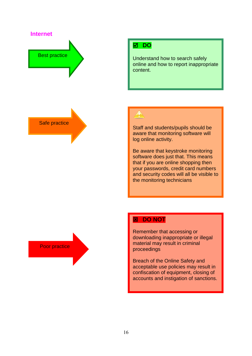### **Internet**

# Best practice

### **DO**

Understand how to search safely online and how to report inappropriate content.

Safe practice

Staff and students/pupils should be aware that monitoring software will log online activity.

Be aware that keystroke monitoring software does just that. This means that if you are online shopping then your passwords, credit card numbers and security codes will all be visible to the monitoring technicians

Poor practice

### **EX DO NOT**

Remember that accessing or downloading inappropriate or illegal material may result in criminal proceedings

Breach of the Online Safety and acceptable use policies may result in confiscation of equipment, closing of accounts and instigation of sanctions.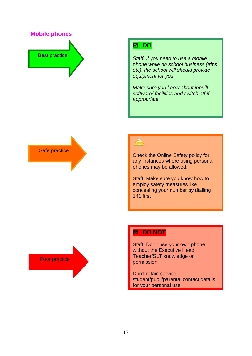**Mobile phones**

# Best practice

### **Ø DO**

*Staff: If you need to use a mobile phone while on school business (trips etc), the school will should provide equipment for you.*

*Make sure you know about inbuilt software/ facilities and switch off if appropriate.*



Check the Online Safety policy for any instances where using personal phones may be allowed.

Staff: Make sure you know how to employ safety measures like concealing your number by dialling 141 first

Poor practice

### **E DO NOT**

Staff: Don't use your own phone without the Executive Head Teacher/SLT knowledge or permission.

Don't retain service student/pupil/parental contact details for your personal use.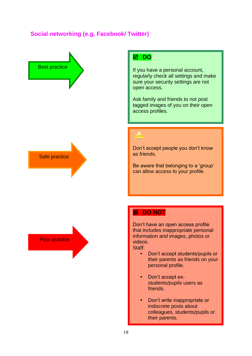### **Social networking (e.g. Facebook/ Twitter)**

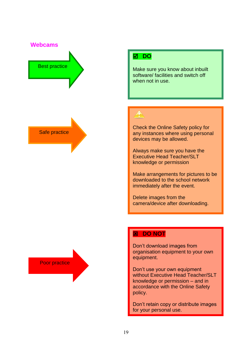**Webcams**



Safe practice

Poor practice

### **Ø DO**

Make sure you know about inbuilt software/ facilities and switch off when not in use.

Check the Online Safety policy for any instances where using personal devices may be allowed.

Always make sure you have the Executive Head Teacher/SLT knowledge or permission

Make arrangements for pictures to be downloaded to the school network immediately after the event.

Delete images from the camera/device after downloading.

### **EX DO NOT**

Don't download images from organisation equipment to your own equipment.

Don't use your own equipment without Executive Head Teacher/SLT knowledge or permission – and in accordance with the Online Safety policy.

Don't retain copy or distribute images for your personal use.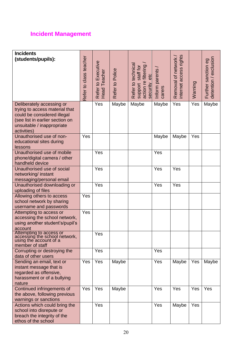### <span id="page-19-0"></span>**Incident Management**

| <b>Incidents</b>                                        |                        |                                    |                 |                                                                      |                          |                                                |         |                                              |
|---------------------------------------------------------|------------------------|------------------------------------|-----------------|----------------------------------------------------------------------|--------------------------|------------------------------------------------|---------|----------------------------------------------|
| (students/pupils):                                      |                        |                                    |                 |                                                                      |                          | internet access rights<br>Removal of network / |         |                                              |
|                                                         | Refer to class teacher | Refer to Executive<br>Head Teacher |                 |                                                                      |                          |                                                |         | detention / exclusion<br>Further sanction eg |
|                                                         |                        |                                    |                 | staff for                                                            |                          |                                                |         |                                              |
|                                                         |                        | Teacher                            |                 |                                                                      |                          |                                                |         |                                              |
|                                                         |                        |                                    |                 |                                                                      |                          |                                                |         |                                              |
|                                                         |                        |                                    |                 |                                                                      |                          |                                                |         |                                              |
|                                                         |                        |                                    | Refer to Police | Refer to technical<br>action re filtering<br>security etc<br>support | Inform parents<br>carers |                                                | Warning |                                              |
|                                                         |                        |                                    |                 |                                                                      |                          |                                                |         |                                              |
| Deliberately accessing or                               |                        | Yes                                | Maybe           | Maybe                                                                | Maybe                    | Yes                                            | Yes     | Maybe                                        |
| trying to access material that                          |                        |                                    |                 |                                                                      |                          |                                                |         |                                              |
| could be considered illegal                             |                        |                                    |                 |                                                                      |                          |                                                |         |                                              |
| (see list in earlier section on                         |                        |                                    |                 |                                                                      |                          |                                                |         |                                              |
| unsuitable / inappropriate                              |                        |                                    |                 |                                                                      |                          |                                                |         |                                              |
| activities)<br>Unauthorised use of non-                 | Yes                    |                                    |                 |                                                                      | Maybe                    |                                                | Yes     |                                              |
| educational sites during                                |                        |                                    |                 |                                                                      |                          | Maybe                                          |         |                                              |
| lessons                                                 |                        |                                    |                 |                                                                      |                          |                                                |         |                                              |
| Unauthorised use of mobile                              |                        | Yes                                |                 |                                                                      | Yes                      |                                                |         |                                              |
| phone/digital camera / other                            |                        |                                    |                 |                                                                      |                          |                                                |         |                                              |
| handheld device                                         |                        |                                    |                 |                                                                      |                          |                                                |         |                                              |
| Unauthorised use of social                              |                        | Yes                                |                 |                                                                      | Yes                      | Yes                                            |         |                                              |
| networking/ instant                                     |                        |                                    |                 |                                                                      |                          |                                                |         |                                              |
| messaging/personal email                                |                        |                                    |                 |                                                                      |                          |                                                |         |                                              |
| Unauthorised downloading or                             |                        | Yes                                |                 |                                                                      | Yes                      | Yes                                            |         |                                              |
| uploading of files                                      |                        |                                    |                 |                                                                      |                          |                                                |         |                                              |
| Allowing others to access                               | Yes                    |                                    |                 |                                                                      |                          |                                                |         |                                              |
| school network by sharing                               |                        |                                    |                 |                                                                      |                          |                                                |         |                                              |
| username and passwords                                  |                        |                                    |                 |                                                                      |                          |                                                |         |                                              |
| Attempting to access or                                 | Yes                    |                                    |                 |                                                                      |                          |                                                |         |                                              |
| accessing the school network,                           |                        |                                    |                 |                                                                      |                          |                                                |         |                                              |
| using another student's/pupil's<br>account              |                        |                                    |                 |                                                                      |                          |                                                |         |                                              |
| Attempting to access or                                 |                        | Yes                                |                 |                                                                      |                          |                                                |         |                                              |
| accessing the school network,<br>using the account of a |                        |                                    |                 |                                                                      |                          |                                                |         |                                              |
| member of staff                                         |                        |                                    |                 |                                                                      |                          |                                                |         |                                              |
| Corrupting or destroying the                            |                        | Yes                                |                 |                                                                      | Yes                      |                                                |         |                                              |
| data of other users                                     |                        |                                    |                 |                                                                      |                          |                                                |         |                                              |
| Sending an email, text or                               | Yes                    | Yes                                | Maybe           |                                                                      | Yes                      | Maybe                                          | Yes     | Maybe                                        |
| instant message that is                                 |                        |                                    |                 |                                                                      |                          |                                                |         |                                              |
| regarded as offensive,                                  |                        |                                    |                 |                                                                      |                          |                                                |         |                                              |
| harassment or of a bullying                             |                        |                                    |                 |                                                                      |                          |                                                |         |                                              |
| nature                                                  |                        |                                    |                 |                                                                      |                          |                                                |         |                                              |
| Continued infringements of                              | Yes                    | Yes                                | Maybe           |                                                                      | Yes                      | Yes                                            | Yes     | Yes                                          |
| the above, following previous                           |                        |                                    |                 |                                                                      |                          |                                                |         |                                              |
| warnings or sanctions                                   |                        |                                    |                 |                                                                      |                          |                                                |         |                                              |
| Actions which could bring the                           |                        | Yes                                |                 |                                                                      | $\bar{Y}$ es             | Maybe                                          | Yes     |                                              |
| school into disrepute or                                |                        |                                    |                 |                                                                      |                          |                                                |         |                                              |
|                                                         |                        |                                    |                 |                                                                      |                          |                                                |         |                                              |
| breach the integrity of the<br>ethos of the school      |                        |                                    |                 |                                                                      |                          |                                                |         |                                              |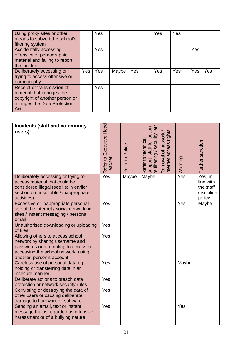| Using proxy sites or other<br>means to subvert the school's<br>filtering system                                                     |     | Yes |       |     | Yes | Yes |     |     |
|-------------------------------------------------------------------------------------------------------------------------------------|-----|-----|-------|-----|-----|-----|-----|-----|
| Accidentally accessing<br>offensive or pornographic<br>material and failing to report<br>the incident                               |     | Yes |       |     |     |     | Yes |     |
| Deliberately accessing or<br>trying to access offensive or<br>pornography                                                           | Yes | Yes | Maybe | Yes | Yes | Yes | Yes | Yes |
| Receipt or transmission of<br>material that infringes the<br>copyright of another person or<br>infringes the Data Protection<br>Act |     | Yes |       |     |     |     |     |     |

| <b>Incidents (staff and community</b><br>users):                                                                                                                               | Refer to Executive Head<br>Teacher | Refer to Police | etc<br>support staff for action<br>re filtering / security<br>Refer to technical | nternet access rights<br>Removal of network | Warning | Further sanction                                          |
|--------------------------------------------------------------------------------------------------------------------------------------------------------------------------------|------------------------------------|-----------------|----------------------------------------------------------------------------------|---------------------------------------------|---------|-----------------------------------------------------------|
| Deliberately accessing or trying to<br>access material that could be<br>considered illegal (see list in earlier<br>section on unsuitable / inappropriate<br>activities)        | Yes                                | Maybe           | Maybe                                                                            |                                             | Yes     | Yes, in<br>line with<br>the staff<br>discipline<br>policy |
| Excessive or inappropriate personal<br>use of the internet / social networking<br>sites / instant messaging / personal<br>email                                                | Yes                                |                 |                                                                                  |                                             | Yes     | Maybe                                                     |
| Unauthorised downloading or uploading<br>of files                                                                                                                              | Yes                                |                 |                                                                                  |                                             |         |                                                           |
| Allowing others to access school<br>network by sharing username and<br>passwords or attempting to access or<br>accessing the school network, using<br>another person's account | Yes                                |                 |                                                                                  |                                             |         |                                                           |
| Careless use of personal data eg<br>holding or transferring data in an<br>insecure manner                                                                                      | Yes                                |                 |                                                                                  |                                             | Maybe   |                                                           |
| Deliberate actions to breach data<br>protection or network security rules                                                                                                      | Yes                                |                 |                                                                                  |                                             |         |                                                           |
| Corrupting or destroying the data of<br>other users or causing deliberate<br>damage to hardware or software                                                                    | Yes                                |                 |                                                                                  |                                             |         |                                                           |
| Sending an email, text or instant<br>message that is regarded as offensive,<br>harassment or of a bullying nature                                                              | Yes                                |                 |                                                                                  |                                             | Yes     |                                                           |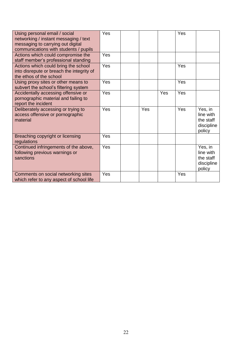| Using personal email / social<br>networking / instant messaging / text<br>messaging to carrying out digital<br>communications with students / pupils | Yes |     |     | Yes |                                                           |
|------------------------------------------------------------------------------------------------------------------------------------------------------|-----|-----|-----|-----|-----------------------------------------------------------|
| Actions which could compromise the<br>staff member's professional standing                                                                           | Yes |     |     |     |                                                           |
| Actions which could bring the school<br>into disrepute or breach the integrity of<br>the ethos of the school                                         | Yes |     |     | Yes |                                                           |
| Using proxy sites or other means to<br>subvert the school's filtering system                                                                         | Yes |     |     | Yes |                                                           |
| Accidentally accessing offensive or<br>pornographic material and failing to<br>report the incident                                                   | Yes |     | Yes | Yes |                                                           |
| Deliberately accessing or trying to<br>access offensive or pornographic<br>material                                                                  | Yes | Yes |     | Yes | Yes, in<br>line with<br>the staff<br>discipline<br>policy |
| Breaching copyright or licensing<br>regulations                                                                                                      | Yes |     |     |     |                                                           |
| Continued infringements of the above,<br>following previous warnings or<br>sanctions                                                                 | Yes |     |     |     | Yes, in<br>line with<br>the staff<br>discipline<br>policy |
| Comments on social networking sites<br>which refer to any aspect of school life                                                                      | Yes |     |     | Yes |                                                           |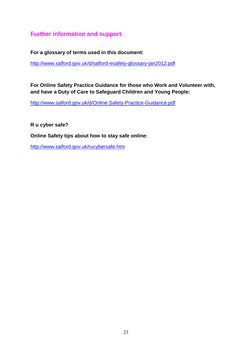### <span id="page-22-0"></span>**Further information and support**

**For a glossary of terms used in this document:**

<http://www.salford.gov.uk/d/salford-esafety-glossary-jan2012.pdf>

**For Online Safety Practice Guidance for those who Work and Volunteer with, and have a Duty of Care to Safeguard Children and Young People:**

[http://www.salford.gov.uk/d/Online Safety-Practice-Guidance.pdf](http://www.salford.gov.uk/d/e-Safety-Practice-Guidance.pdf)

**R u cyber safe?**

**Online Safety tips about how to stay safe online:**

<http://www.salford.gov.uk/rucybersafe.htm>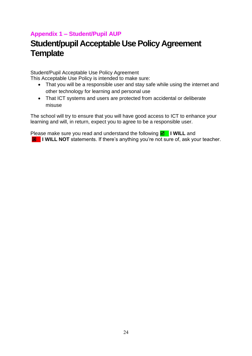### <span id="page-23-0"></span>**Appendix 1 – Student/Pupil AUP**

## **Student/pupil Acceptable Use Policy Agreement Template**

Student/Pupil Acceptable Use Policy Agreement

This Acceptable Use Policy is intended to make sure:

- That you will be a responsible user and stay safe while using the internet and other technology for learning and personal use
- That ICT systems and users are protected from accidental or deliberate misuse

The school will try to ensure that you will have good access to ICT to enhance your learning and will, in return, expect you to agree to be a responsible user.

Please make sure you read and understand the following  **I WILL** and **E** I WILL NOT statements. If there's anything you're not sure of, ask your teacher.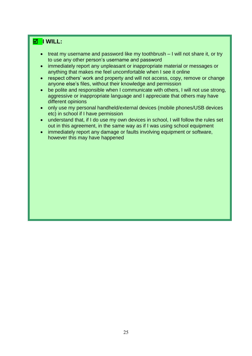### **I WILL:**

- treat my username and password like my toothbrush I will not share it, or try to use any other person's username and password
- immediately report any unpleasant or inappropriate material or messages or anything that makes me feel uncomfortable when I see it online
- respect others' work and property and will not access, copy, remove or change anyone else's files, without their knowledge and permission
- be polite and responsible when I communicate with others, I will not use strong, aggressive or inappropriate language and I appreciate that others may have different opinions
- only use my personal handheld/external devices (mobile phones/USB devices etc) in school if I have permission
- understand that, if I do use my own devices in school, I will follow the rules set out in this agreement, in the same way as if I was using school equipment
- immediately report any damage or faults involving equipment or software, however this may have happened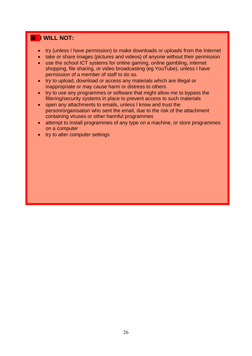### **E** I WILL NOT:

- try (unless I have permission) to make downloads or uploads from the Internet
- take or share images (pictures and videos) of anyone without their permission
- use the school ICT systems for online gaming, online gambling, internet shopping, file sharing, or video broadcasting (eg YouTube), unless I have permission of a member of staff to do so.
- try to upload, download or access any materials which are illegal or inappropriate or may cause harm or distress to others
- try to use any programmes or software that might allow me to bypass the filtering/security systems in place to prevent access to such materials
- open any attachments to emails, unless I know and trust the person/organisation who sent the email, due to the risk of the attachment containing viruses or other harmful programmes
- attempt to install programmes of any type on a machine, or store programmes on a computer
- try to alter computer settings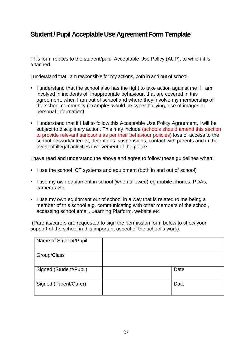### **Student / Pupil Acceptable Use Agreement Form Template**

This form relates to the student/pupil Acceptable Use Policy (AUP), to which it is attached.

I understand that I am responsible for my actions, both in and out of school:

- I understand that the school also has the right to take action against me if I am involved in incidents of inappropriate behaviour, that are covered in this agreement, when I am out of school and where they involve my membership of the school community (examples would be cyber-bullying, use of images or personal information)
- I understand that if I fail to follow this Acceptable Use Policy Agreement, I will be subject to disciplinary action. This may include (schools should amend this section to provide relevant sanctions as per their behaviour policies) loss of access to the school network/internet, detentions, suspensions, contact with parents and in the event of illegal activities involvement of the police

I have read and understand the above and agree to follow these guidelines when:

- I use the school ICT systems and equipment (both in and out of school)
- I use my own equipment in school (when allowed) eg mobile phones, PDAs, cameras etc
- I use my own equipment out of school in a way that is related to me being a member of this school e.g. communicating with other members of the school, accessing school email, Learning Platform, website etc

(Parents/carers are requested to sign the permission form below to show your support of the school in this important aspect of the school's work).

<span id="page-26-0"></span>

| Name of Student/Pupil  |      |
|------------------------|------|
| Group/Class            |      |
| Signed (Student/Pupil) | Date |
| Signed (Parent/Carer)  | Date |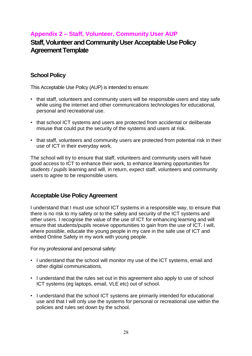### **Appendix 2 – Staff, Volunteer, Community User AUP**

### **Staff, Volunteer and Community User Acceptable Use Policy Agreement Template**

### **School Policy**

This Acceptable Use Policy (AUP) is intended to ensure:

- that staff, volunteers and community users will be responsible users and stay safe while using the internet and other communications technologies for educational, personal and recreational use.
- that school ICT systems and users are protected from accidental or deliberate misuse that could put the security of the systems and users at risk.
- that staff, volunteers and community users are protected from potential risk in their use of ICT in their everyday work.

The school will try to ensure that staff, volunteers and community users will have good access to ICT to enhance their work, to enhance learning opportunities for *students / pupils* learning and will, in return, expect staff, volunteers and community users to agree to be responsible users.

### **Acceptable Use Policy Agreement**

I understand that I must use school ICT systems in a responsible way, to ensure that there is no risk to my safety or to the safety and security of the ICT systems and other users. I recognise the value of the use of ICT for enhancing learning and will ensure that students/pupils receive opportunities to gain from the use of ICT. I will, where possible, educate the young people in my care in the safe use of ICT and embed Online Safety in my work with young people.

For my professional and personal safety:

- I understand that the school will monitor my use of the ICT systems, email and other digital communications.
- I understand that the rules set out in this agreement also apply to use of school ICT systems (eg laptops, email, VLE etc) out of school.
- I understand that the school ICT systems are primarily intended for educational use and that I will only use the systems for personal or recreational use within the policies and rules set down by the school.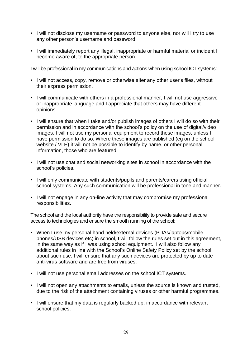- I will not disclose my username or password to anyone else, nor will I try to use any other person's username and password.
- I will immediately report any illegal, inappropriate or harmful material or incident I become aware of, to the appropriate person.

I will be professional in my communications and actions when using school ICT systems:

- I will not access, copy, remove or otherwise alter any other user's files, without their express permission.
- I will communicate with others in a professional manner, I will not use aggressive or inappropriate language and I appreciate that others may have different opinions.
- I will ensure that when I take and/or publish images of others I will do so with their permission and in accordance with the school's policy on the use of digital/video images. I will not use my personal equipment to record these images, unless I have permission to do so. Where these images are published (eg on the school website / VLE) it will not be possible to identify by name, or other personal information, those who are featured.
- I will not use chat and social networking sites in school in accordance with the school's policies.
- I will only communicate with students/pupils and parents/carers using official school systems. Any such communication will be professional in tone and manner.
- I will not engage in any on-line activity that may compromise my professional responsibilities.

The school and the local authority have the responsibility to provide safe and secure access to technologies and ensure the smooth running of the school:

- When I use my personal hand held/external devices (PDAs/laptops/mobile phones/USB devices etc) in school, I will follow the rules set out in this agreement, in the same way as if I was using school equipment. I will also follow any additional rules in line with the School's Online Safety Policy set by the school about such use. I will ensure that any such devices are protected by up to date anti-virus software and are free from viruses.
- I will not use personal email addresses on the school ICT systems.
- I will not open any attachments to emails, unless the source is known and trusted, due to the risk of the attachment containing viruses or other harmful programmes.
- I will ensure that my data is regularly backed up, in accordance with relevant school policies.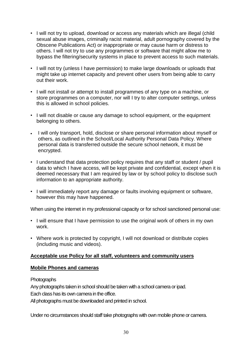- I will not try to upload, download or access any materials which are illegal (child sexual abuse images, criminally racist material, adult pornography covered by the Obscene Publications Act) or inappropriate or may cause harm or distress to others. I will not try to use any programmes or software that might allow me to bypass the filtering/security systems in place to prevent access to such materials.
- I will not try (unless I have permission) to make large downloads or uploads that might take up internet capacity and prevent other users from being able to carry out their work.
- I will not install or attempt to install programmes of any type on a machine, or store programmes on a computer, nor will I try to alter computer settings, unless this is allowed in school policies.
- I will not disable or cause any damage to school equipment, or the equipment belonging to others.
- I will only transport, hold, disclose or share personal information about myself or others, as outlined in the School/Local Authority Personal Data Policy. Where personal data is transferred outside the secure school network, it must be encrypted.
- I understand that data protection policy requires that any staff or student / pupil data to which I have access, will be kept private and confidential, except when it is deemed necessary that I am required by law or by school policy to disclose such information to an appropriate authority.
- I will immediately report any damage or faults involving equipment or software, however this may have happened.

When using the internet in my professional capacity or for school sanctioned personal use:

- I will ensure that I have permission to use the original work of others in my own work.
- Where work is protected by copyright, I will not download or distribute copies (including music and videos).

### **Acceptable use Policy for all staff, volunteers and community users**

### **Mobile Phones and cameras**

Photographs

Any photographs taken in school should be taken with a school camera or ipad. Each class has its own camera in the office.

All photographs must be downloaded and printed in school.

Under no circumstances should staff take photographs with own mobile phone or camera.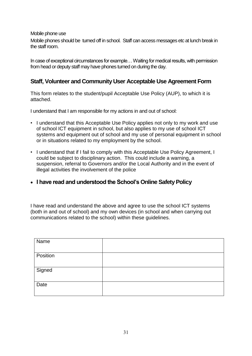Mobile phone use

Mobile phones should be turned off in school. Staff can access messages etc at lunch break in the staff room.

In case of exceptional circumstances for example... Waiting for medical results, with permission from head or deputy staff may have phones turned on during the day.

### **Staff, Volunteer and Community User Acceptable Use Agreement Form**

This form relates to the student/pupil Acceptable Use Policy (AUP), to which it is attached.

I understand that I am responsible for my actions in and out of school:

- I understand that this Acceptable Use Policy applies not only to my work and use of school ICT equipment in school, but also applies to my use of school ICT systems and equipment out of school and my use of personal equipment in school or in situations related to my employment by the school.
- I understand that if I fail to comply with this Acceptable Use Policy Agreement, I could be subject to disciplinary action. This could include a warning, a suspension, referral to Governors and/or the Local Authority and in the event of illegal activities the involvement of the police
- **I have read and understood the School's Online SafetyPolicy**

I have read and understand the above and agree to use the school ICT systems (both in and out of school) and my own devices (in school and when carrying out communications related to the school) within these guidelines.

| Name     |  |
|----------|--|
| Position |  |
| Signed   |  |
| Date     |  |